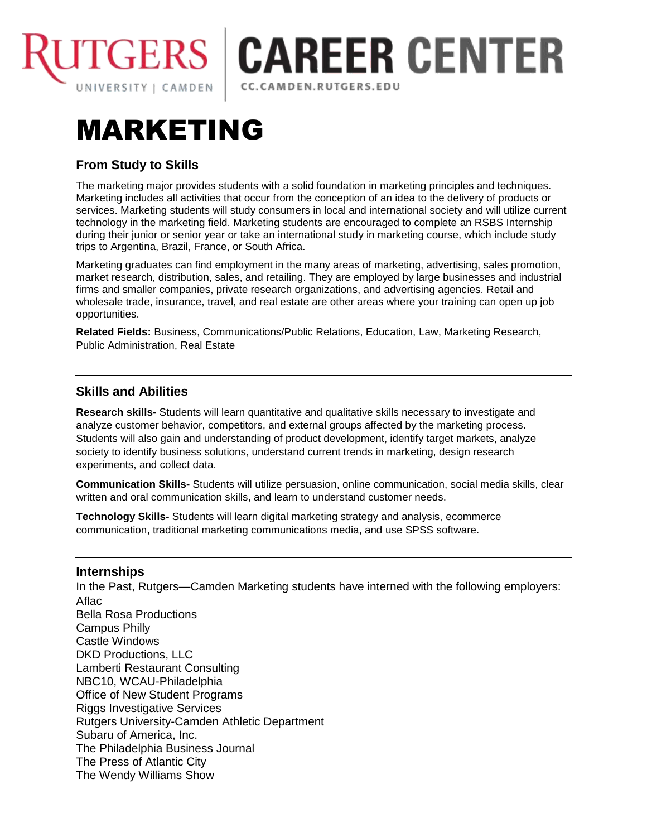

## **TGERS | CAREER CENTER** CC.CAMDEN.RUTGERS.EDU

# MARKETING

## **From Study to Skills**

The marketing major provides students with a solid foundation in marketing principles and techniques. Marketing includes all activities that occur from the conception of an idea to the delivery of products or services. Marketing students will study consumers in local and international society and will utilize current technology in the marketing field. Marketing students are encouraged to complete an RSBS Internship during their junior or senior year or take an international study in marketing course, which include study trips to Argentina, Brazil, France, or South Africa.

Marketing graduates can find employment in the many areas of marketing, advertising, sales promotion, market research, distribution, sales, and retailing. They are employed by large businesses and industrial firms and smaller companies, private research organizations, and advertising agencies. Retail and wholesale trade, insurance, travel, and real estate are other areas where your training can open up job opportunities.

**Related Fields:** Business, Communications/Public Relations, Education, Law, Marketing Research, Public Administration, Real Estate

## **Skills and Abilities**

**Research skills-** Students will learn quantitative and qualitative skills necessary to investigate and analyze customer behavior, competitors, and external groups affected by the marketing process. Students will also gain and understanding of product development, identify target markets, analyze society to identify business solutions, understand current trends in marketing, design research experiments, and collect data.

**Communication Skills-** Students will utilize persuasion, online communication, social media skills, clear written and oral communication skills, and learn to understand customer needs.

**Technology Skills-** Students will learn digital marketing strategy and analysis, ecommerce communication, traditional marketing communications media, and use SPSS software.

### **Internships**

In the Past, Rutgers—Camden Marketing students have interned with the following employers: Aflac Bella Rosa Productions Campus Philly Castle Windows DKD Productions, LLC Lamberti Restaurant Consulting NBC10, WCAU-Philadelphia Office of New Student Programs Riggs Investigative Services Rutgers University-Camden Athletic Department Subaru of America, Inc. The Philadelphia Business Journal The Press of Atlantic City The Wendy Williams Show